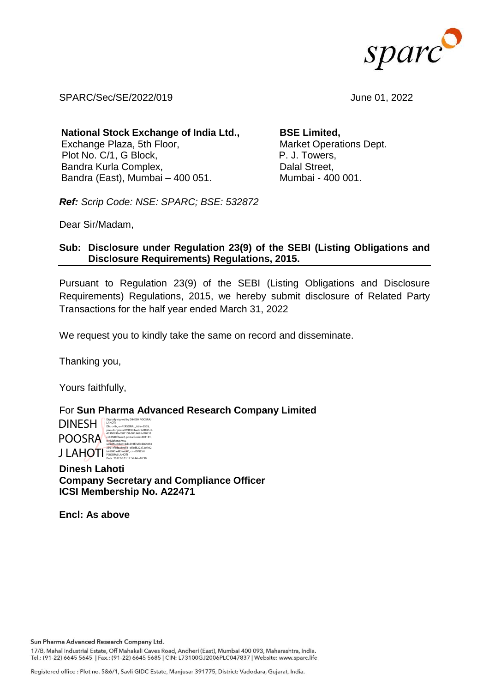

SPARC/Sec/SE/2022/019 June 01, 2022

**National Stock Exchange of India Ltd.,**  Exchange Plaza, 5th Floor, Plot No. C/1, G Block, Bandra Kurla Complex, Bandra (East), Mumbai – 400 051.

**BSE Limited,**  Market Operations Dept. P. J. Towers, Dalal Street, Mumbai - 400 001.

*Ref: Scrip Code: NSE: SPARC; BSE: 532872*

Dear Sir/Madam,

# **Sub: Disclosure under Regulation 23(9) of the SEBI (Listing Obligations and Disclosure Requirements) Regulations, 2015.**

Pursuant to Regulation 23(9) of the SEBI (Listing Obligations and Disclosure Requirements) Regulations, 2015, we hereby submit disclosure of Related Party Transactions for the half year ended March 31, 2022

We request you to kindly take the same on record and disseminate.

Thanking you,

Yours faithfully,

For **Sun Pharma Advanced Research Company Limited**

DINESH Digitally signed by DINESH POOSRAJ<br>DN: c=IN, o=PERSONAL, title=3569,<br>DN: c=Indonem=P06989h3aeh5d3091c4 POOSRA **J LAHOTI** <sup>serialNumber=2dbd91f7a8b4b64833<br>
b45995ad83eeb86, cn=DINESH<br>
pooskal.AHOTI pooskal.AHOTI 17:36:44 +05'30'</sup> pseudonym=e06989b3aebf5d3091c4 46300899af58210fb58fc8685d70833 cc08580f0eea2, postalCode=401101,

**Dinesh Lahoti Company Secretary and Compliance Officer ICSI Membership No. A22471**

**Encl: As above**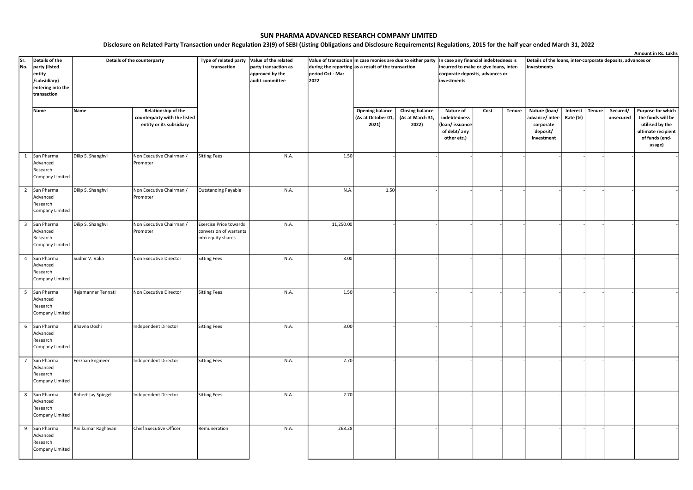|     |                                                                                  |                             |                                                                                 |                                                                               |                                                                 |                                                                                                                                                                              |                                                       |                                                     |                                                                            |      |               |                                                                            |                      |               |                       | Amount in Rs. Lakhs                                                                                         |  |
|-----|----------------------------------------------------------------------------------|-----------------------------|---------------------------------------------------------------------------------|-------------------------------------------------------------------------------|-----------------------------------------------------------------|------------------------------------------------------------------------------------------------------------------------------------------------------------------------------|-------------------------------------------------------|-----------------------------------------------------|----------------------------------------------------------------------------|------|---------------|----------------------------------------------------------------------------|----------------------|---------------|-----------------------|-------------------------------------------------------------------------------------------------------------|--|
| Sr. | Details of the<br>No.<br>party (listed<br>entity                                 | Details of the counterparty |                                                                                 | Type of related party<br>transaction                                          | Value of the related<br>party transaction as<br>approved by the | Value of transaction In case monies are due to either party In case any financial indebtedness is<br>during the reporting as a result of the transaction<br>period Oct - Mar |                                                       |                                                     | incurred to make or give loans, inter-<br>corporate deposits, advances or  |      |               | Details of the loans, inter-corporate deposits, advances or<br>investments |                      |               |                       |                                                                                                             |  |
|     | /subsidiary)                                                                     |                             |                                                                                 |                                                                               | audit committee                                                 | 2022                                                                                                                                                                         |                                                       |                                                     | investments                                                                |      |               |                                                                            |                      |               |                       |                                                                                                             |  |
|     | entering into the<br>transaction                                                 |                             |                                                                                 |                                                                               |                                                                 |                                                                                                                                                                              |                                                       |                                                     |                                                                            |      |               |                                                                            |                      |               |                       |                                                                                                             |  |
|     | Name                                                                             | Name                        | Relationship of the<br>counterparty with the listed<br>entity or its subsidiary |                                                                               |                                                                 |                                                                                                                                                                              | <b>Opening balance</b><br>(As at October 01,<br>2021) | <b>Closing balance</b><br>(As at March 31,<br>2022) | Nature of<br>indebtedness<br>(loan/issuance<br>of debt/ any<br>other etc.) | Cost | <b>Tenure</b> | Nature (loan/<br>advance/inter-<br>corporate<br>deposit/<br>investment     | Interest<br>Rate (%) | <b>Tenure</b> | Secured/<br>unsecured | Purpose for which<br>the funds will be<br>utilised by the<br>ultimate recipient<br>of funds (end-<br>usage) |  |
|     | 1 Sun Pharma<br>Advanced<br>Research<br>Company Limited                          | Dilip S. Shanghvi           | Non Executive Chairman /<br>Promoter                                            | <b>Sitting Fees</b>                                                           | N.A.                                                            | 1.50                                                                                                                                                                         |                                                       |                                                     |                                                                            |      |               |                                                                            |                      |               |                       |                                                                                                             |  |
|     | Sun Pharma<br>$\overline{2}$<br>Advanced<br>Research<br>Company Limited          | Dilip S. Shanghvi           | Non Executive Chairman /<br>Promoter                                            | Outstanding Payable                                                           | N.A.                                                            | N.A.                                                                                                                                                                         | 1.50                                                  |                                                     |                                                                            |      |               |                                                                            |                      |               |                       |                                                                                                             |  |
|     | $\overline{\mathbf{3}}$<br>Sun Pharma<br>Advanced<br>Research<br>Company Limited | Dilip S. Shanghvi           | Non Executive Chairman /<br>Promoter                                            | <b>Exercise Price towards</b><br>conversion of warrants<br>into equity shares | N.A.                                                            | 11,250.00                                                                                                                                                                    |                                                       |                                                     |                                                                            |      |               |                                                                            |                      |               |                       |                                                                                                             |  |
|     | $\overline{4}$<br>Sun Pharma<br>Advanced<br>Research<br>Company Limited          | Sudhir V. Valia             | Non Executive Director                                                          | <b>Sitting Fees</b>                                                           | N.A.                                                            | 3.00                                                                                                                                                                         |                                                       |                                                     |                                                                            |      |               |                                                                            |                      |               |                       |                                                                                                             |  |
|     | 5 <sup>5</sup><br>Sun Pharma<br>Advanced<br>Research<br>Company Limited          | Rajamannar Tennati          | Non Executive Director                                                          | <b>Sitting Fees</b>                                                           | N.A.                                                            | 1.50                                                                                                                                                                         |                                                       |                                                     |                                                                            |      |               |                                                                            |                      |               |                       |                                                                                                             |  |
|     | Sun Pharma<br>6<br>Advanced<br>Research<br>Company Limited                       | Bhavna Doshi                | Independent Director                                                            | <b>Sitting Fees</b>                                                           | N.A.                                                            | 3.00                                                                                                                                                                         |                                                       |                                                     |                                                                            |      |               |                                                                            |                      |               |                       |                                                                                                             |  |
|     | $7^{\circ}$<br>Sun Pharma<br>Advanced<br>Research<br>Company Limited             | Ferzaan Engineer            | Independent Director                                                            | <b>Sitting Fees</b>                                                           | N.A.                                                            | 2.70                                                                                                                                                                         |                                                       |                                                     |                                                                            |      |               |                                                                            |                      |               |                       |                                                                                                             |  |
|     | 8<br>Sun Pharma<br>Advanced<br>Research<br>Company Limited                       | Robert Jay Spiegel          | Independent Director                                                            | <b>Sitting Fees</b>                                                           | N.A.                                                            | 2.70                                                                                                                                                                         |                                                       |                                                     |                                                                            |      |               |                                                                            |                      |               |                       |                                                                                                             |  |
|     | 9 Sun Pharma<br>Advanced<br>Research<br>Company Limited                          | Anilkumar Raghavan          | Chief Executive Officer                                                         | Remuneration                                                                  | N.A.                                                            | 268.28                                                                                                                                                                       |                                                       |                                                     |                                                                            |      |               |                                                                            |                      |               |                       |                                                                                                             |  |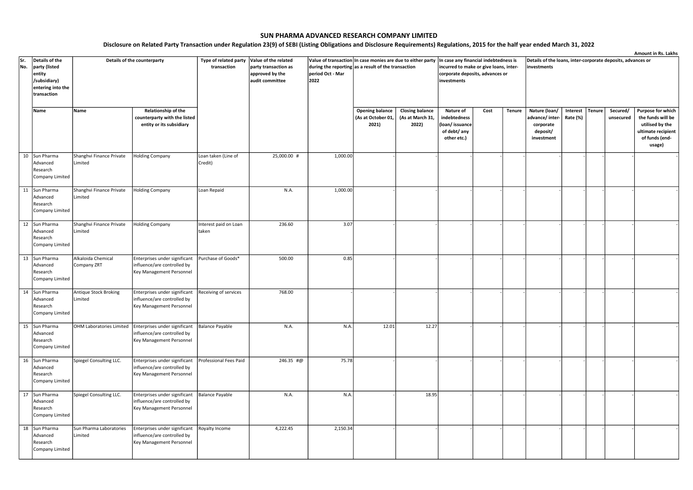|     |                                                             |                                     |                                                                                          |                                      |                                                                 |                                                                                                                                                                              |                                                       |                                                     |                                                                            |                                                                           |        |                                                                            |                      |               |                       | Amount in Rs. Lakhs                                                                                         |  |
|-----|-------------------------------------------------------------|-------------------------------------|------------------------------------------------------------------------------------------|--------------------------------------|-----------------------------------------------------------------|------------------------------------------------------------------------------------------------------------------------------------------------------------------------------|-------------------------------------------------------|-----------------------------------------------------|----------------------------------------------------------------------------|---------------------------------------------------------------------------|--------|----------------------------------------------------------------------------|----------------------|---------------|-----------------------|-------------------------------------------------------------------------------------------------------------|--|
| Sr. | Details of the<br>No.<br>party (listed<br>entity            | Details of the counterparty         |                                                                                          | Type of related party<br>transaction | Value of the related<br>party transaction as<br>approved by the | Value of transaction In case monies are due to either party In case any financial indebtedness is<br>during the reporting as a result of the transaction<br>period Oct - Mar |                                                       |                                                     |                                                                            | incurred to make or give loans, inter-<br>corporate deposits, advances or |        | Details of the loans, inter-corporate deposits, advances or<br>investments |                      |               |                       |                                                                                                             |  |
|     | /subsidiary)<br>entering into the<br>transaction            |                                     |                                                                                          |                                      | audit committee                                                 | 2022                                                                                                                                                                         |                                                       |                                                     | investments                                                                |                                                                           |        |                                                                            |                      |               |                       |                                                                                                             |  |
|     | Name                                                        | Name                                | Relationship of the<br>counterparty with the listed<br>entity or its subsidiary          |                                      |                                                                 |                                                                                                                                                                              | <b>Opening balance</b><br>(As at October 01,<br>2021) | <b>Closing balance</b><br>(As at March 31,<br>2022) | Nature of<br>indebtedness<br>(loan/issuance<br>of debt/ any<br>other etc.) | Cost                                                                      | Tenure | Nature (loan/<br>advance/ inter-<br>corporate<br>deposit/<br>investment    | Interest<br>Rate (%) | <b>Tenure</b> | Secured/<br>unsecured | Purpose for which<br>the funds will be<br>utilised by the<br>ultimate recipient<br>of funds (end-<br>usage) |  |
|     | 10 Sun Pharma<br>Advanced<br>Research<br>Company Limited    | Shanghvi Finance Private<br>Limited | <b>Holding Company</b>                                                                   | Loan taken (Line of<br>Credit)       | 25,000.00 #                                                     | 1,000.00                                                                                                                                                                     |                                                       |                                                     |                                                                            |                                                                           |        |                                                                            |                      |               |                       |                                                                                                             |  |
|     | 11<br>Sun Pharma<br>Advanced<br>Research<br>Company Limited | Shanghvi Finance Private<br>Limited | <b>Holding Company</b>                                                                   | Loan Repaid                          | N.A.                                                            | 1,000.00                                                                                                                                                                     |                                                       |                                                     |                                                                            |                                                                           |        |                                                                            |                      |               |                       |                                                                                                             |  |
|     | 12 Sun Pharma<br>Advanced<br>Research<br>Company Limited    | Shanghvi Finance Private<br>Limited | <b>Holding Company</b>                                                                   | Interest paid on Loan<br>taken       | 236.60                                                          | 3.07                                                                                                                                                                         |                                                       |                                                     |                                                                            |                                                                           |        |                                                                            |                      |               |                       |                                                                                                             |  |
|     | 13 Sun Pharma<br>Advanced<br>Research<br>Company Limited    | Alkaloida Chemical<br>Company ZRT   | Enterprises under significant<br>influence/are controlled by<br>Key Management Personnel | Purchase of Goods*                   | 500.00                                                          | 0.85                                                                                                                                                                         |                                                       |                                                     |                                                                            |                                                                           |        |                                                                            |                      |               |                       |                                                                                                             |  |
|     | 14 Sun Pharma<br>Advanced<br>Research<br>Company Limited    | Antique Stock Broking<br>Limited    | Enterprises under significant<br>influence/are controlled by<br>Key Management Personnel | Receiving of services                | 768.00                                                          |                                                                                                                                                                              |                                                       |                                                     |                                                                            |                                                                           |        |                                                                            |                      |               |                       |                                                                                                             |  |
|     | 15 Sun Pharma<br>Advanced<br>Research<br>Company Limited    | OHM Laboratories Limited            | Enterprises under significant<br>influence/are controlled by<br>Key Management Personnel | <b>Balance Payable</b>               | N.A.                                                            | N.A.                                                                                                                                                                         | 12.01                                                 | 12.27                                               |                                                                            |                                                                           |        |                                                                            |                      |               |                       |                                                                                                             |  |
|     | 16 Sun Pharma<br>Advanced<br>Research<br>Company Limited    | Spiegel Consulting LLC.             | Enterprises under significant<br>influence/are controlled by<br>Key Management Personnel | Professional Fees Paid               | 246.35 #@                                                       | 75.78                                                                                                                                                                        |                                                       |                                                     |                                                                            |                                                                           |        |                                                                            |                      |               |                       |                                                                                                             |  |
|     | 17 Sun Pharma<br>Advanced<br>Research<br>Company Limited    | Spiegel Consulting LLC.             | Enterprises under significant<br>influence/are controlled by<br>Key Management Personnel | <b>Balance Payable</b>               | N.A.                                                            | N.A.                                                                                                                                                                         |                                                       | 18.95                                               |                                                                            |                                                                           |        |                                                                            |                      |               |                       |                                                                                                             |  |
|     | 18 Sun Pharma<br>Advanced<br>Research<br>Company Limited    | Sun Pharma Laboratories<br>Limited  | Enterprises under significant<br>influence/are controlled by<br>Key Management Personnel | Royalty Income                       | 4,222.45                                                        | 2,150.34                                                                                                                                                                     |                                                       |                                                     |                                                                            |                                                                           |        |                                                                            |                      |               |                       |                                                                                                             |  |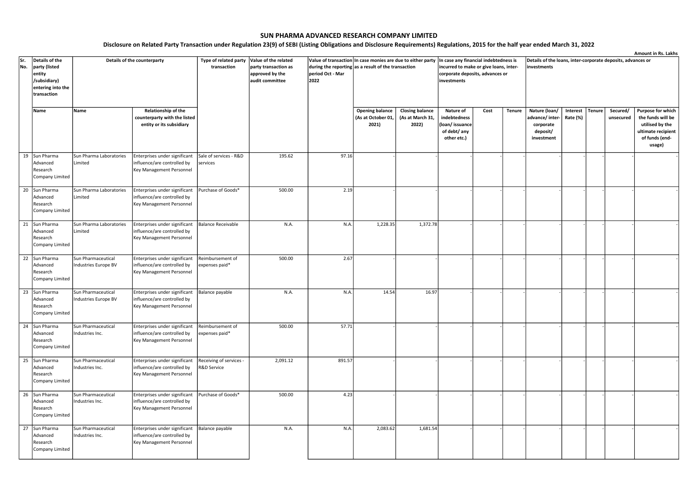|     |                   |                         |                               |                           |                      |                                                             |                        |                        |                                        |      |               |                                                             |          |               |           | Amount in Rs. Lakhs |  |  |
|-----|-------------------|-------------------------|-------------------------------|---------------------------|----------------------|-------------------------------------------------------------|------------------------|------------------------|----------------------------------------|------|---------------|-------------------------------------------------------------|----------|---------------|-----------|---------------------|--|--|
| Sr. | Details of the    |                         | Details of the counterparty   | Type of related party     | Value of the related | Value of transaction In case monies are due to either party |                        |                        | In case any financial indebtedness is  |      |               | Details of the loans, inter-corporate deposits, advances or |          |               |           |                     |  |  |
| No. | party (listed     |                         |                               | transaction               | party transaction as | during the reporting as a result of the transaction         |                        |                        | incurred to make or give loans, inter- |      |               | investments                                                 |          |               |           |                     |  |  |
|     | entity            |                         |                               |                           | approved by the      | period Oct - Mar                                            |                        |                        | corporate deposits, advances or        |      |               |                                                             |          |               |           |                     |  |  |
|     | /subsidiary)      |                         |                               |                           | audit committee      | 2022                                                        |                        |                        | investments                            |      |               |                                                             |          |               |           |                     |  |  |
|     | entering into the |                         |                               |                           |                      |                                                             |                        |                        |                                        |      |               |                                                             |          |               |           |                     |  |  |
|     | transaction       |                         |                               |                           |                      |                                                             |                        |                        |                                        |      |               |                                                             |          |               |           |                     |  |  |
|     |                   |                         |                               |                           |                      |                                                             |                        |                        |                                        |      |               |                                                             |          |               |           |                     |  |  |
|     | Name              | Name                    | Relationship of the           |                           |                      |                                                             | <b>Opening balance</b> | <b>Closing balance</b> | Nature of                              | Cost | <b>Tenure</b> | Nature (loan/                                               | Interest | <b>Tenure</b> | Secured/  | Purpose for which   |  |  |
|     |                   |                         |                               |                           |                      |                                                             |                        |                        |                                        |      |               |                                                             |          |               |           |                     |  |  |
|     |                   |                         | counterparty with the listed  |                           |                      |                                                             | (As at October 01,     | (As at March 31,       | indebtedness                           |      |               | advance/inter-                                              | Rate (%) |               | unsecured | the funds will be   |  |  |
|     |                   |                         | entity or its subsidiary      |                           |                      |                                                             | 2021)                  | 2022)                  | (loan/issuance                         |      |               | corporate                                                   |          |               |           | utilised by the     |  |  |
|     |                   |                         |                               |                           |                      |                                                             |                        |                        | of debt/ any                           |      |               | deposit/                                                    |          |               |           | ultimate recipient  |  |  |
|     |                   |                         |                               |                           |                      |                                                             |                        |                        | other etc.)                            |      |               | investment                                                  |          |               |           | of funds (end-      |  |  |
|     |                   |                         |                               |                           |                      |                                                             |                        |                        |                                        |      |               |                                                             |          |               |           | usage)              |  |  |
|     |                   |                         |                               |                           |                      |                                                             |                        |                        |                                        |      |               |                                                             |          |               |           |                     |  |  |
|     | 19 Sun Pharma     | Sun Pharma Laboratories | Enterprises under significant | Sale of services - R&D    | 195.62               | 97.16                                                       |                        |                        |                                        |      |               |                                                             |          |               |           |                     |  |  |
|     | Advanced          | Limited                 | influence/are controlled by   | services                  |                      |                                                             |                        |                        |                                        |      |               |                                                             |          |               |           |                     |  |  |
|     | Research          |                         | Key Management Personnel      |                           |                      |                                                             |                        |                        |                                        |      |               |                                                             |          |               |           |                     |  |  |
|     | Company Limited   |                         |                               |                           |                      |                                                             |                        |                        |                                        |      |               |                                                             |          |               |           |                     |  |  |
|     |                   |                         |                               |                           |                      |                                                             |                        |                        |                                        |      |               |                                                             |          |               |           |                     |  |  |
| 20  | Sun Pharma        | Sun Pharma Laboratories | Enterprises under significant | Purchase of Goods*        | 500.00               | 2.19                                                        |                        |                        |                                        |      |               |                                                             |          |               |           |                     |  |  |
|     | Advanced          | Limited                 | influence/are controlled by   |                           |                      |                                                             |                        |                        |                                        |      |               |                                                             |          |               |           |                     |  |  |
|     | Research          |                         | Key Management Personnel      |                           |                      |                                                             |                        |                        |                                        |      |               |                                                             |          |               |           |                     |  |  |
|     | Company Limited   |                         |                               |                           |                      |                                                             |                        |                        |                                        |      |               |                                                             |          |               |           |                     |  |  |
|     |                   |                         |                               |                           |                      |                                                             |                        |                        |                                        |      |               |                                                             |          |               |           |                     |  |  |
| 21  | Sun Pharma        | Sun Pharma Laboratories | Enterprises under significant | <b>Balance Receivable</b> | N.A.                 | N.A.                                                        | 1,228.35               | 1,372.78               |                                        |      |               |                                                             |          |               |           |                     |  |  |
|     | Advanced          | Limited                 | influence/are controlled by   |                           |                      |                                                             |                        |                        |                                        |      |               |                                                             |          |               |           |                     |  |  |
|     | Research          |                         | Key Management Personnel      |                           |                      |                                                             |                        |                        |                                        |      |               |                                                             |          |               |           |                     |  |  |
|     | Company Limited   |                         |                               |                           |                      |                                                             |                        |                        |                                        |      |               |                                                             |          |               |           |                     |  |  |
|     |                   |                         |                               |                           |                      |                                                             |                        |                        |                                        |      |               |                                                             |          |               |           |                     |  |  |
| 22  | Sun Pharma        | Sun Pharmaceutical      |                               |                           | 500.00               | 2.67                                                        |                        |                        |                                        |      |               |                                                             |          |               |           |                     |  |  |
|     |                   |                         | Enterprises under significant | Reimbursement of          |                      |                                                             |                        |                        |                                        |      |               |                                                             |          |               |           |                     |  |  |
|     | Advanced          | Industries Europe BV    | influence/are controlled by   | expenses paid*            |                      |                                                             |                        |                        |                                        |      |               |                                                             |          |               |           |                     |  |  |
|     | Research          |                         | Key Management Personnel      |                           |                      |                                                             |                        |                        |                                        |      |               |                                                             |          |               |           |                     |  |  |
|     | Company Limited   |                         |                               |                           |                      |                                                             |                        |                        |                                        |      |               |                                                             |          |               |           |                     |  |  |
|     |                   |                         |                               |                           |                      |                                                             |                        |                        |                                        |      |               |                                                             |          |               |           |                     |  |  |
|     | 23 Sun Pharma     | Sun Pharmaceutical      | Enterprises under significant | Balance payable           | N.A.                 | N.A.                                                        | 14.54                  | 16.97                  |                                        |      |               |                                                             |          |               |           |                     |  |  |
|     | Advanced          | Industries Europe BV    | influence/are controlled by   |                           |                      |                                                             |                        |                        |                                        |      |               |                                                             |          |               |           |                     |  |  |
|     | Research          |                         | Key Management Personnel      |                           |                      |                                                             |                        |                        |                                        |      |               |                                                             |          |               |           |                     |  |  |
|     | Company Limited   |                         |                               |                           |                      |                                                             |                        |                        |                                        |      |               |                                                             |          |               |           |                     |  |  |
|     |                   |                         |                               |                           |                      |                                                             |                        |                        |                                        |      |               |                                                             |          |               |           |                     |  |  |
|     | 24 Sun Pharma     | Sun Pharmaceutical      | Enterprises under significant | Reimbursement of          | 500.00               | 57.71                                                       |                        |                        |                                        |      |               |                                                             |          |               |           |                     |  |  |
|     | Advanced          | Industries Inc.         | influence/are controlled by   | expenses paid*            |                      |                                                             |                        |                        |                                        |      |               |                                                             |          |               |           |                     |  |  |
|     | Research          |                         | Key Management Personnel      |                           |                      |                                                             |                        |                        |                                        |      |               |                                                             |          |               |           |                     |  |  |
|     | Company Limited   |                         |                               |                           |                      |                                                             |                        |                        |                                        |      |               |                                                             |          |               |           |                     |  |  |
|     |                   |                         |                               |                           |                      |                                                             |                        |                        |                                        |      |               |                                                             |          |               |           |                     |  |  |
| 25  | Sun Pharma        | Sun Pharmaceutical      | Enterprises under significant | Receiving of services -   | 2,091.12             | 891.57                                                      |                        |                        |                                        |      |               |                                                             |          |               |           |                     |  |  |
|     | Advanced          | Industries Inc.         | influence/are controlled by   | R&D Service               |                      |                                                             |                        |                        |                                        |      |               |                                                             |          |               |           |                     |  |  |
|     | Research          |                         | Key Management Personnel      |                           |                      |                                                             |                        |                        |                                        |      |               |                                                             |          |               |           |                     |  |  |
|     | Company Limited   |                         |                               |                           |                      |                                                             |                        |                        |                                        |      |               |                                                             |          |               |           |                     |  |  |
|     |                   |                         |                               |                           |                      |                                                             |                        |                        |                                        |      |               |                                                             |          |               |           |                     |  |  |
|     | 26 Sun Pharma     | Sun Pharmaceutical      |                               | Purchase of Goods*        | 500.00               | 4.23                                                        |                        |                        |                                        |      |               |                                                             |          |               |           |                     |  |  |
|     |                   |                         | Enterprises under significant |                           |                      |                                                             |                        |                        |                                        |      |               |                                                             |          |               |           |                     |  |  |
|     | Advanced          | Industries Inc.         | influence/are controlled by   |                           |                      |                                                             |                        |                        |                                        |      |               |                                                             |          |               |           |                     |  |  |
|     | Research          |                         | Key Management Personnel      |                           |                      |                                                             |                        |                        |                                        |      |               |                                                             |          |               |           |                     |  |  |
|     | Company Limited   |                         |                               |                           |                      |                                                             |                        |                        |                                        |      |               |                                                             |          |               |           |                     |  |  |
|     |                   |                         |                               |                           |                      |                                                             |                        |                        |                                        |      |               |                                                             |          |               |           |                     |  |  |
| 27  | Sun Pharma        | Sun Pharmaceutical      | Enterprises under significant | Balance payable           | N.A.                 | N.A.                                                        | 2,083.62               | 1,681.54               |                                        |      |               |                                                             |          |               |           |                     |  |  |
|     | Advanced          | Industries Inc.         | influence/are controlled by   |                           |                      |                                                             |                        |                        |                                        |      |               |                                                             |          |               |           |                     |  |  |
|     | Research          |                         | Key Management Personnel      |                           |                      |                                                             |                        |                        |                                        |      |               |                                                             |          |               |           |                     |  |  |
|     | Company Limited   |                         |                               |                           |                      |                                                             |                        |                        |                                        |      |               |                                                             |          |               |           |                     |  |  |
|     |                   |                         |                               |                           |                      |                                                             |                        |                        |                                        |      |               |                                                             |          |               |           |                     |  |  |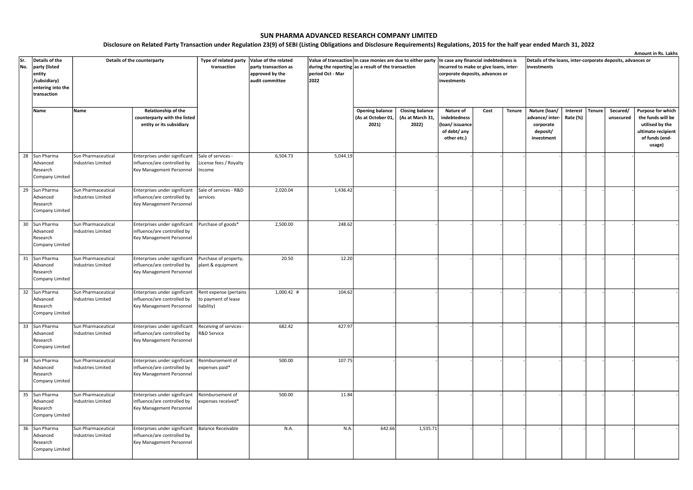|            |                                 |                                                 |                                                              |                                            |                                              |                                                                                                                    |                        |                        |                                                                                 |      |        |                                                                            |          |               |           | Amount in Rs. Lakhs                  |  |
|------------|---------------------------------|-------------------------------------------------|--------------------------------------------------------------|--------------------------------------------|----------------------------------------------|--------------------------------------------------------------------------------------------------------------------|------------------------|------------------------|---------------------------------------------------------------------------------|------|--------|----------------------------------------------------------------------------|----------|---------------|-----------|--------------------------------------|--|
| Sr.<br>No. | Details of the<br>party (listed | Details of the counterparty                     |                                                              | Type of related party<br>transaction       | Value of the related<br>party transaction as | Value of transaction In case monies are due to either party<br>during the reporting as a result of the transaction |                        |                        | In case any financial indebtedness is<br>incurred to make or give loans, inter- |      |        | Details of the loans, inter-corporate deposits, advances or<br>investments |          |               |           |                                      |  |
|            | entity<br>/subsidiary)          |                                                 |                                                              |                                            | approved by the<br>audit committee           | period Oct - Mar<br>2022                                                                                           |                        |                        | corporate deposits, advances or<br>investments                                  |      |        |                                                                            |          |               |           |                                      |  |
|            | entering into the               |                                                 |                                                              |                                            |                                              |                                                                                                                    |                        |                        |                                                                                 |      |        |                                                                            |          |               |           |                                      |  |
|            | ltransaction                    |                                                 |                                                              |                                            |                                              |                                                                                                                    |                        |                        |                                                                                 |      |        |                                                                            |          |               |           |                                      |  |
|            | Name                            | Name                                            | Relationship of the                                          |                                            |                                              |                                                                                                                    | <b>Opening balance</b> | <b>Closing balance</b> | Nature of                                                                       | Cost | Tenure | Nature (loan/                                                              | Interest | <b>Tenure</b> | Secured/  | Purpose for which                    |  |
|            |                                 |                                                 | counterparty with the listed                                 |                                            |                                              |                                                                                                                    | (As at October 01,     | (As at March 31,       | indebtedness                                                                    |      |        | advance/ inter-                                                            | Rate (%) |               | unsecured | the funds will be                    |  |
|            |                                 |                                                 | entity or its subsidiary                                     |                                            |                                              |                                                                                                                    | 2021)                  | 2022)                  | (loan/issuance                                                                  |      |        | corporate                                                                  |          |               |           | utilised by the                      |  |
|            |                                 |                                                 |                                                              |                                            |                                              |                                                                                                                    |                        |                        | of debt/ any<br>other etc.)                                                     |      |        | deposit/<br>investment                                                     |          |               |           | ultimate recipient<br>of funds (end- |  |
|            |                                 |                                                 |                                                              |                                            |                                              |                                                                                                                    |                        |                        |                                                                                 |      |        |                                                                            |          |               |           | usage)                               |  |
|            | 28<br>Sun Pharma                | Sun Pharmaceutical                              | Enterprises under significant                                | Sale of services -                         | 6,504.73                                     | 5,044.19                                                                                                           |                        |                        |                                                                                 |      |        |                                                                            |          |               |           |                                      |  |
|            | Advanced<br>Research            | Industries Limited                              | influence/are controlled by<br>Key Management Personnel      | License fees / Royalty<br>Income           |                                              |                                                                                                                    |                        |                        |                                                                                 |      |        |                                                                            |          |               |           |                                      |  |
|            | Company Limited                 |                                                 |                                                              |                                            |                                              |                                                                                                                    |                        |                        |                                                                                 |      |        |                                                                            |          |               |           |                                      |  |
|            |                                 |                                                 |                                                              |                                            |                                              |                                                                                                                    |                        |                        |                                                                                 |      |        |                                                                            |          |               |           |                                      |  |
|            | 29<br>Sun Pharma                | Sun Pharmaceutical                              | Enterprises under significant                                | Sale of services - R&D                     | 2,020.04                                     | 1,436.42                                                                                                           |                        |                        |                                                                                 |      |        |                                                                            |          |               |           |                                      |  |
|            | Advanced<br>Research            | <b>Industries Limited</b>                       | influence/are controlled by<br>Key Management Personnel      | services                                   |                                              |                                                                                                                    |                        |                        |                                                                                 |      |        |                                                                            |          |               |           |                                      |  |
|            | Company Limited                 |                                                 |                                                              |                                            |                                              |                                                                                                                    |                        |                        |                                                                                 |      |        |                                                                            |          |               |           |                                      |  |
|            |                                 |                                                 |                                                              |                                            |                                              |                                                                                                                    |                        |                        |                                                                                 |      |        |                                                                            |          |               |           |                                      |  |
|            | 30<br>Sun Pharma<br>Advanced    | Sun Pharmaceutical                              | Enterprises under significant                                | Purchase of goods*                         | 2,500.00                                     | 248.62                                                                                                             |                        |                        |                                                                                 |      |        |                                                                            |          |               |           |                                      |  |
|            | Research                        | Industries Limited                              | influence/are controlled by<br>Key Management Personnel      |                                            |                                              |                                                                                                                    |                        |                        |                                                                                 |      |        |                                                                            |          |               |           |                                      |  |
|            | Company Limited                 |                                                 |                                                              |                                            |                                              |                                                                                                                    |                        |                        |                                                                                 |      |        |                                                                            |          |               |           |                                      |  |
|            |                                 |                                                 |                                                              |                                            |                                              |                                                                                                                    |                        |                        |                                                                                 |      |        |                                                                            |          |               |           |                                      |  |
|            | 31 Sun Pharma<br>Advanced       | Sun Pharmaceutical<br><b>Industries Limited</b> | Enterprises under significant<br>influence/are controlled by | Purchase of property,<br>plant & equipment | 20.50                                        | 12.20                                                                                                              |                        |                        |                                                                                 |      |        |                                                                            |          |               |           |                                      |  |
|            | Research                        |                                                 | Key Management Personnel                                     |                                            |                                              |                                                                                                                    |                        |                        |                                                                                 |      |        |                                                                            |          |               |           |                                      |  |
|            | Company Limited                 |                                                 |                                                              |                                            |                                              |                                                                                                                    |                        |                        |                                                                                 |      |        |                                                                            |          |               |           |                                      |  |
|            | 32 Sun Pharma                   | Sun Pharmaceutical                              | Enterprises under significant                                | Rent expense (pertains                     | $1,000.42$ #                                 | 104.62                                                                                                             |                        |                        |                                                                                 |      |        |                                                                            |          |               |           |                                      |  |
|            | Advanced                        | <b>Industries Limited</b>                       | influence/are controlled by                                  | to payment of lease                        |                                              |                                                                                                                    |                        |                        |                                                                                 |      |        |                                                                            |          |               |           |                                      |  |
|            | Research                        |                                                 | Key Management Personnel                                     | liability)                                 |                                              |                                                                                                                    |                        |                        |                                                                                 |      |        |                                                                            |          |               |           |                                      |  |
|            | Company Limited                 |                                                 |                                                              |                                            |                                              |                                                                                                                    |                        |                        |                                                                                 |      |        |                                                                            |          |               |           |                                      |  |
|            | 33<br>Sun Pharma                | Sun Pharmaceutical                              | Enterprises under significant                                | Receiving of services -                    | 682.42                                       | 427.97                                                                                                             |                        |                        |                                                                                 |      |        |                                                                            |          |               |           |                                      |  |
|            | Advanced                        | <b>Industries Limited</b>                       | influence/are controlled by                                  | R&D Service                                |                                              |                                                                                                                    |                        |                        |                                                                                 |      |        |                                                                            |          |               |           |                                      |  |
|            | Research                        |                                                 | Key Management Personnel                                     |                                            |                                              |                                                                                                                    |                        |                        |                                                                                 |      |        |                                                                            |          |               |           |                                      |  |
|            | Company Limited                 |                                                 |                                                              |                                            |                                              |                                                                                                                    |                        |                        |                                                                                 |      |        |                                                                            |          |               |           |                                      |  |
|            | 34 Sun Pharma                   | Sun Pharmaceutical                              | Enterprises under significant                                | Reimbursement of                           | 500.00                                       | 107.75                                                                                                             |                        |                        |                                                                                 |      |        |                                                                            |          |               |           |                                      |  |
|            | Advanced                        | <b>Industries Limited</b>                       | influence/are controlled by                                  | expenses paid*                             |                                              |                                                                                                                    |                        |                        |                                                                                 |      |        |                                                                            |          |               |           |                                      |  |
|            | Research<br>Company Limited     |                                                 | Key Management Personnel                                     |                                            |                                              |                                                                                                                    |                        |                        |                                                                                 |      |        |                                                                            |          |               |           |                                      |  |
|            |                                 |                                                 |                                                              |                                            |                                              |                                                                                                                    |                        |                        |                                                                                 |      |        |                                                                            |          |               |           |                                      |  |
|            | 35<br>Sun Pharma                | Sun Pharmaceutical                              | Enterprises under significant                                | Reimbursement of                           | 500.00                                       | 11.84                                                                                                              |                        |                        |                                                                                 |      |        |                                                                            |          |               |           |                                      |  |
|            | Advanced                        | <b>Industries Limited</b>                       | influence/are controlled by                                  | expenses received*                         |                                              |                                                                                                                    |                        |                        |                                                                                 |      |        |                                                                            |          |               |           |                                      |  |
|            | Research<br>Company Limited     |                                                 | Key Management Personnel                                     |                                            |                                              |                                                                                                                    |                        |                        |                                                                                 |      |        |                                                                            |          |               |           |                                      |  |
|            |                                 |                                                 |                                                              |                                            |                                              |                                                                                                                    |                        |                        |                                                                                 |      |        |                                                                            |          |               |           |                                      |  |
|            | 36 Sun Pharma                   | Sun Pharmaceutical                              | Enterprises under significant                                | <b>Balance Receivable</b>                  | N.A.                                         | N.A                                                                                                                | 642.66                 | 1,535.71               |                                                                                 |      |        |                                                                            |          |               |           |                                      |  |
|            | Advanced<br>Research            | Industries Limited                              | influence/are controlled by<br>Key Management Personnel      |                                            |                                              |                                                                                                                    |                        |                        |                                                                                 |      |        |                                                                            |          |               |           |                                      |  |
|            | Company Limited                 |                                                 |                                                              |                                            |                                              |                                                                                                                    |                        |                        |                                                                                 |      |        |                                                                            |          |               |           |                                      |  |
|            |                                 |                                                 |                                                              |                                            |                                              |                                                                                                                    |                        |                        |                                                                                 |      |        |                                                                            |          |               |           |                                      |  |